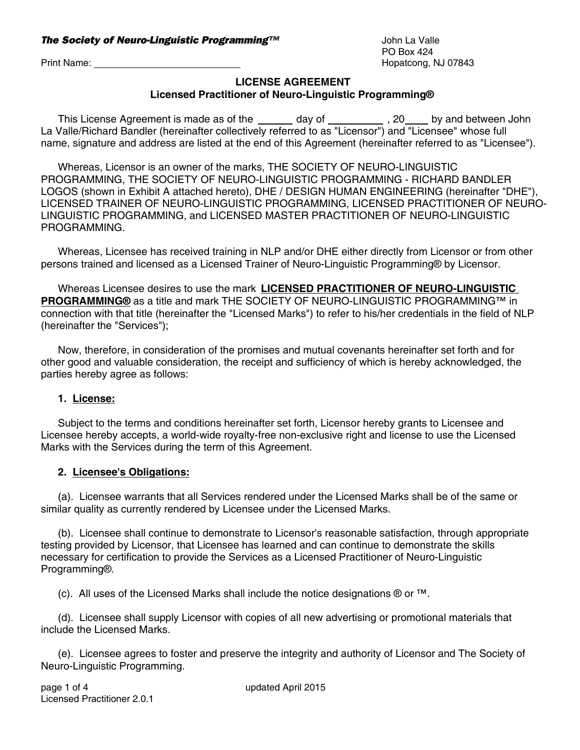## **LICENSE AGREEMENT Licensed Practitioner of Neuro-Linguistic Programming®**

This License Agreement is made as of the  $\frac{1}{\sqrt{2}}$  day of  $\frac{1}{\sqrt{2}}$ , 20 by and between John La Valle/Richard Bandler (hereinafter collectively referred to as "Licensor") and "Licensee" whose full name, signature and address are listed at the end of this Agreement (hereinafter referred to as "Licensee").

Whereas, Licensor is an owner of the marks, THE SOCIETY OF NEURO-LINGUISTIC PROGRAMMING, THE SOCIETY OF NEURO-LINGUISTIC PROGRAMMING - RICHARD BANDLER LOGOS (shown in Exhibit A attached hereto), DHE / DESIGN HUMAN ENGINEERING (hereinafter "DHE"), LICENSED TRAINER OF NEURO-LINGUISTIC PROGRAMMING, LICENSED PRACTITIONER OF NEURO-LINGUISTIC PROGRAMMING, and LICENSED MASTER PRACTITIONER OF NEURO-LINGUISTIC PROGRAMMING.

Whereas, Licensee has received training in NLP and/or DHE either directly from Licensor or from other persons trained and licensed as a Licensed Trainer of Neuro-Linguistic Programming® by Licensor.

Whereas Licensee desires to use the mark **LICENSED PRACTITIONER OF NEURO-LINGUISTIC PROGRAMMING®** as a title and mark THE SOCIETY OF NEURO-LINGUISTIC PROGRAMMING™ in connection with that title (hereinafter the "Licensed Marks") to refer to his/her credentials in the field of NLP (hereinafter the "Services");

Now, therefore, in consideration of the promises and mutual covenants hereinafter set forth and for other good and valuable consideration, the receipt and sufficiency of which is hereby acknowledged, the parties hereby agree as follows:

## **1. License:**

Subject to the terms and conditions hereinafter set forth, Licensor hereby grants to Licensee and Licensee hereby accepts, a world-wide royalty-free non-exclusive right and license to use the Licensed Marks with the Services during the term of this Agreement.

### **2. Licensee's Obligations:**

(a). Licensee warrants that all Services rendered under the Licensed Marks shall be of the same or similar quality as currently rendered by Licensee under the Licensed Marks.

(b). Licensee shall continue to demonstrate to Licensor's reasonable satisfaction, through appropriate testing provided by Licensor, that Licensee has learned and can continue to demonstrate the skills necessary for certification to provide the Services as a Licensed Practitioner of Neuro-Linguistic Programming®.

(c). All uses of the Licensed Marks shall include the notice designations ® or ™.

(d). Licensee shall supply Licensor with copies of all new advertising or promotional materials that include the Licensed Marks.

(e). Licensee agrees to foster and preserve the integrity and authority of Licensor and The Society of Neuro-Linguistic Programming.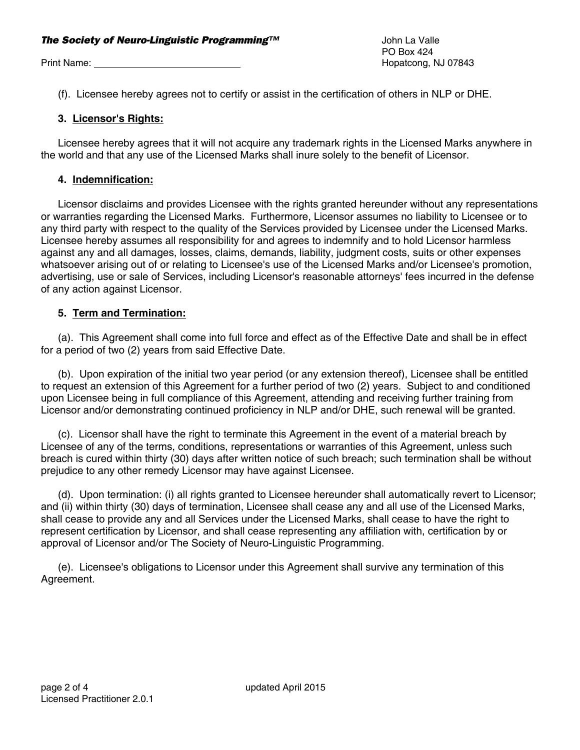#### **The Society of Neuro-Linguistic Programming™** and the Society of Neuro-Linguistic Programming™

Print Name: Name: Name: Name and Allen Controller Controller Controller Controller Controller Controller Controller Controller Controller Controller Controller Controller Controller Controller Controller Controller Control

PO Box 424

(f). Licensee hereby agrees not to certify or assist in the certification of others in NLP or DHE.

#### **3. Licensor's Rights:**

Licensee hereby agrees that it will not acquire any trademark rights in the Licensed Marks anywhere in the world and that any use of the Licensed Marks shall inure solely to the benefit of Licensor.

#### **4. Indemnification:**

Licensor disclaims and provides Licensee with the rights granted hereunder without any representations or warranties regarding the Licensed Marks. Furthermore, Licensor assumes no liability to Licensee or to any third party with respect to the quality of the Services provided by Licensee under the Licensed Marks. Licensee hereby assumes all responsibility for and agrees to indemnify and to hold Licensor harmless against any and all damages, losses, claims, demands, liability, judgment costs, suits or other expenses whatsoever arising out of or relating to Licensee's use of the Licensed Marks and/or Licensee's promotion, advertising, use or sale of Services, including Licensor's reasonable attorneys' fees incurred in the defense of any action against Licensor.

#### **5. Term and Termination:**

(a). This Agreement shall come into full force and effect as of the Effective Date and shall be in effect for a period of two (2) years from said Effective Date.

(b). Upon expiration of the initial two year period (or any extension thereof), Licensee shall be entitled to request an extension of this Agreement for a further period of two (2) years. Subject to and conditioned upon Licensee being in full compliance of this Agreement, attending and receiving further training from Licensor and/or demonstrating continued proficiency in NLP and/or DHE, such renewal will be granted.

(c). Licensor shall have the right to terminate this Agreement in the event of a material breach by Licensee of any of the terms, conditions, representations or warranties of this Agreement, unless such breach is cured within thirty (30) days after written notice of such breach; such termination shall be without prejudice to any other remedy Licensor may have against Licensee.

(d). Upon termination: (i) all rights granted to Licensee hereunder shall automatically revert to Licensor; and (ii) within thirty (30) days of termination, Licensee shall cease any and all use of the Licensed Marks, shall cease to provide any and all Services under the Licensed Marks, shall cease to have the right to represent certification by Licensor, and shall cease representing any affiliation with, certification by or approval of Licensor and/or The Society of Neuro-Linguistic Programming.

(e). Licensee's obligations to Licensor under this Agreement shall survive any termination of this Agreement.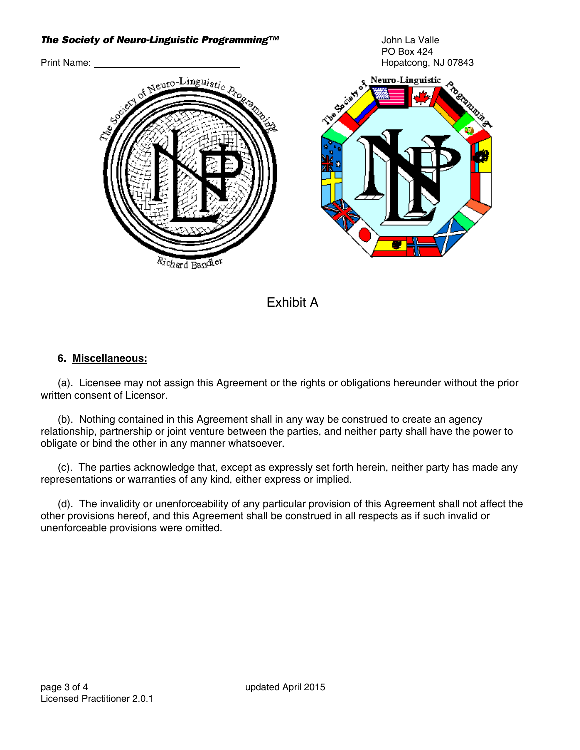# **The Society of Neuro-Linguistic Programming™** and the Society of Neuro-Linguistic Programming™ PO Box 424 Print Name: Note and the Manual Contract of the Manual Contract of the Hopatcong, NJ 07843 Neuro-Linguistic <sub>Seuro-</sub>Lingu<sub>isti</sub> Vchard Bandler

Exhibit A

## **6. Miscellaneous:**

(a). Licensee may not assign this Agreement or the rights or obligations hereunder without the prior written consent of Licensor.

(b). Nothing contained in this Agreement shall in any way be construed to create an agency relationship, partnership or joint venture between the parties, and neither party shall have the power to obligate or bind the other in any manner whatsoever.

(c). The parties acknowledge that, except as expressly set forth herein, neither party has made any representations or warranties of any kind, either express or implied.

(d). The invalidity or unenforceability of any particular provision of this Agreement shall not affect the other provisions hereof, and this Agreement shall be construed in all respects as if such invalid or unenforceable provisions were omitted.